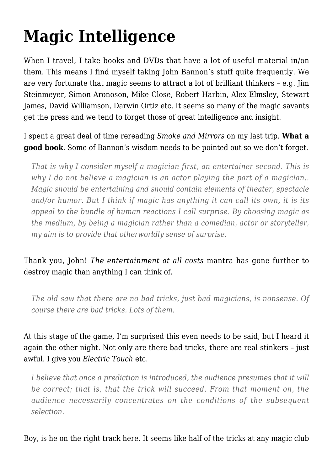## **[Magic Intelligence](https://intenselymagic.com/2008/01/05/magic-intelligence/)**

When I travel, I take books and DVDs that have a lot of useful material in/on them. This means I find myself taking John Bannon's stuff quite frequently. We are very fortunate that magic seems to attract a lot of brilliant thinkers – e.g. Jim Steinmeyer, Simon Aronoson, Mike Close, Robert Harbin, Alex Elmsley, Stewart James, David Williamson, Darwin Ortiz etc. It seems so many of the magic savants get the press and we tend to forget those of great intelligence and insight.

I spent a great deal of time rereading *Smoke and Mirrors* on my last trip. **What a good book**. Some of Bannon's wisdom needs to be pointed out so we don't forget.

*That is why I consider myself a magician first, an entertainer second. This is why I do not believe a magician is an actor playing the part of a magician.. Magic should be entertaining and should contain elements of theater, spectacle and/or humor. But I think if magic has anything it can call its own, it is its appeal to the bundle of human reactions I call surprise. By choosing magic as the medium, by being a magician rather than a comedian, actor or storyteller, my aim is to provide that otherworldly sense of surprise.*

## Thank you, John! *The entertainment at all costs* mantra has gone further to destroy magic than anything I can think of.

*The old saw that there are no bad tricks, just bad magicians, is nonsense. Of course there are bad tricks. Lots of them.*

At this stage of the game, I'm surprised this even needs to be said, but I heard it again the other night. Not only are there bad tricks, there are real stinkers – just awful. I give you *Electric Touch* etc.

*I believe that once a prediction is introduced, the audience presumes that it will be correct; that is, that the trick will succeed. From that moment on, the audience necessarily concentrates on the conditions of the subsequent selection.*

## Boy, is he on the right track here. It seems like half of the tricks at any magic club